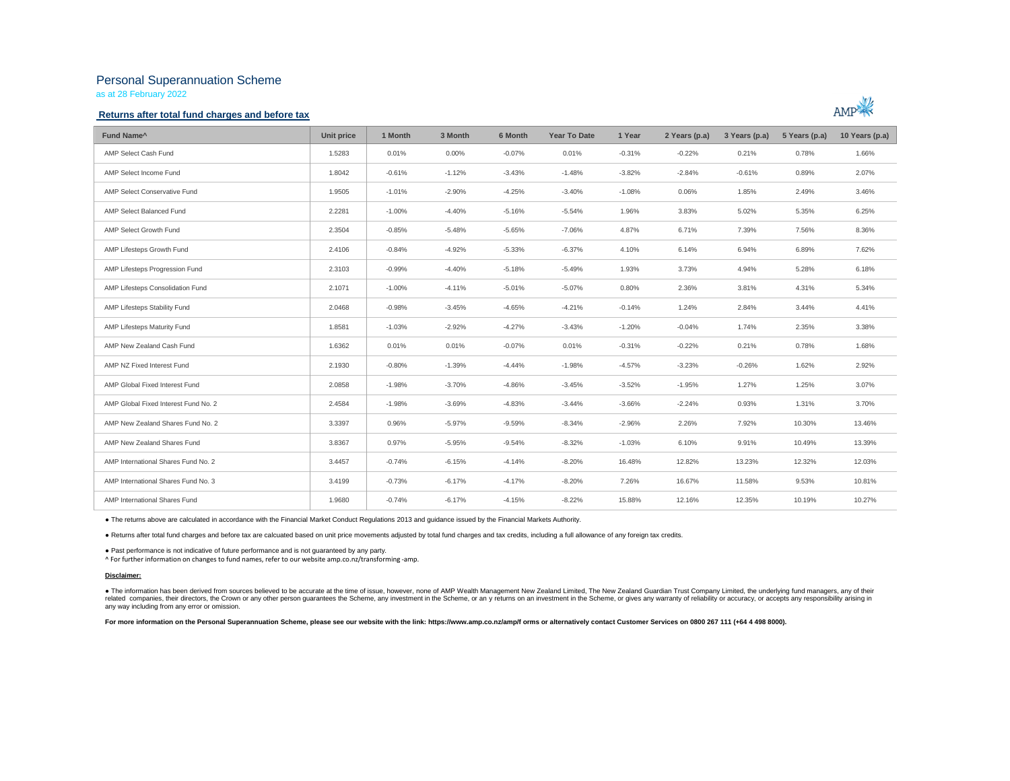# Personal Superannuation Scheme

as at 28 February 2022

## **Returns after total fund charges and before tax**



| Fund Name <sup>^</sup>               | Unit price | 1 Month  | 3 Month  | 6 Month  | <b>Year To Date</b> | 1 Year   | 2 Years (p.a) | 3 Years (p.a) | 5 Years (p.a) | 10 Years (p.a) |
|--------------------------------------|------------|----------|----------|----------|---------------------|----------|---------------|---------------|---------------|----------------|
| AMP Select Cash Fund                 | 1.5283     | 0.01%    | $0.00\%$ | $-0.07%$ | 0.01%               | $-0.31%$ | $-0.22%$      | 0.21%         | 0.78%         | 1.66%          |
| AMP Select Income Fund               | 1.8042     | $-0.61%$ | $-1.12%$ | $-3.43%$ | $-1.48%$            | $-3.82%$ | $-2.84%$      | $-0.61%$      | 0.89%         | 2.07%          |
| AMP Select Conservative Fund         | 1.9505     | $-1.01%$ | $-2.90%$ | $-4.25%$ | $-3.40%$            | $-1.08%$ | 0.06%         | 1.85%         | 2.49%         | 3.46%          |
| AMP Select Balanced Fund             | 2.2281     | $-1.00%$ | $-4.40%$ | $-5.16%$ | $-5.54%$            | 1.96%    | 3.83%         | 5.02%         | 5.35%         | 6.25%          |
| AMP Select Growth Fund               | 2.3504     | $-0.85%$ | $-5.48%$ | $-5.65%$ | $-7.06%$            | 4.87%    | 6.71%         | 7.39%         | 7.56%         | 8.36%          |
| AMP Lifesteps Growth Fund            | 2.4106     | $-0.84%$ | $-4.92%$ | $-5.33%$ | $-6.37%$            | 4.10%    | 6.14%         | 6.94%         | 6.89%         | 7.62%          |
| AMP Lifesteps Progression Fund       | 2.3103     | $-0.99%$ | $-4.40%$ | $-5.18%$ | $-5.49%$            | 1.93%    | 3.73%         | 4.94%         | 5.28%         | 6.18%          |
| AMP Lifesteps Consolidation Fund     | 2.1071     | $-1.00%$ | $-4.11%$ | $-5.01%$ | $-5.07%$            | 0.80%    | 2.36%         | 3.81%         | 4.31%         | 5.34%          |
| AMP Lifesteps Stability Fund         | 2.0468     | $-0.98%$ | $-3.45%$ | $-4.65%$ | $-4.21%$            | $-0.14%$ | 1.24%         | 2.84%         | 3.44%         | 4.41%          |
| AMP Lifesteps Maturity Fund          | 1.8581     | $-1.03%$ | $-2.92%$ | $-4.27%$ | $-3.43%$            | $-1.20%$ | $-0.04%$      | 1.74%         | 2.35%         | 3.38%          |
| AMP New Zealand Cash Fund            | 1.6362     | 0.01%    | 0.01%    | $-0.07%$ | 0.01%               | $-0.31%$ | $-0.22%$      | 0.21%         | 0.78%         | 1.68%          |
| AMP NZ Fixed Interest Fund           | 2.1930     | $-0.80%$ | $-1.39%$ | $-4.44%$ | $-1.98%$            | $-4.57%$ | $-3.23%$      | $-0.26%$      | 1.62%         | 2.92%          |
| AMP Global Fixed Interest Fund       | 2.0858     | $-1.98%$ | $-3.70%$ | $-4.86%$ | $-3.45%$            | $-3.52%$ | $-1.95%$      | 1.27%         | 1.25%         | 3.07%          |
| AMP Global Fixed Interest Fund No. 2 | 2.4584     | $-1.98%$ | $-3.69%$ | $-4.83%$ | $-3.44%$            | $-3.66%$ | $-2.24%$      | 0.93%         | 1.31%         | 3.70%          |
| AMP New Zealand Shares Fund No. 2    | 3.3397     | 0.96%    | $-5.97%$ | $-9.59%$ | $-8.34%$            | $-2.96%$ | 2.26%         | 7.92%         | 10.30%        | 13.46%         |
| AMP New Zealand Shares Fund          | 3.8367     | 0.97%    | $-5.95%$ | $-9.54%$ | $-8.32%$            | $-1.03%$ | 6.10%         | 9.91%         | 10.49%        | 13.39%         |
| AMP International Shares Fund No. 2  | 3.4457     | $-0.74%$ | $-6.15%$ | $-4.14%$ | $-8.20%$            | 16.48%   | 12.82%        | 13.23%        | 12.32%        | 12.03%         |
| AMP International Shares Fund No. 3  | 3.4199     | $-0.73%$ | $-6.17%$ | $-4.17%$ | $-8.20%$            | 7.26%    | 16.67%        | 11.58%        | 9.53%         | 10.81%         |
| AMP International Shares Fund        | 1.9680     | $-0.74%$ | $-6.17%$ | $-4.15%$ | $-8.22%$            | 15.88%   | 12.16%        | 12.35%        | 10.19%        | 10.27%         |

● The returns above are calculated in accordance with the Financial Market Conduct Regulations 2013 and guidance issued by the Financial Markets Authority.

● Returns after total fund charges and before tax are calcuated based on unit price movements adjusted by total fund charges and tax credits, including a full allowance of any foreign tax credits.

● Past performance is not indicative of future performance and is not guaranteed by any party.

^ For further information on changes to fund names, refer to our website amp.co.nz/transforming -amp.

#### **Disclaimer:**

. The information has been derived from sources believed to be accurate at the time of issue, however, none of AMP Wealth Management New Zealand Limited, The New Zealand Guardian Trust Company Limited, the underlying fund related companies, their directors, the Crown or any other person guarantees the Scheme, any investment in the Scheme, or any returns on an investment in the Scheme, or gives any varranty of reliability or accuracy, or acc any way including from any error or omission.

For more information on the Personal Superannuation Scheme, please see our website with the link: https://www.amp.co.nz/amp/f orms or alternatively contact Customer Services on 0800 267 111 (+64 4 498 8000).